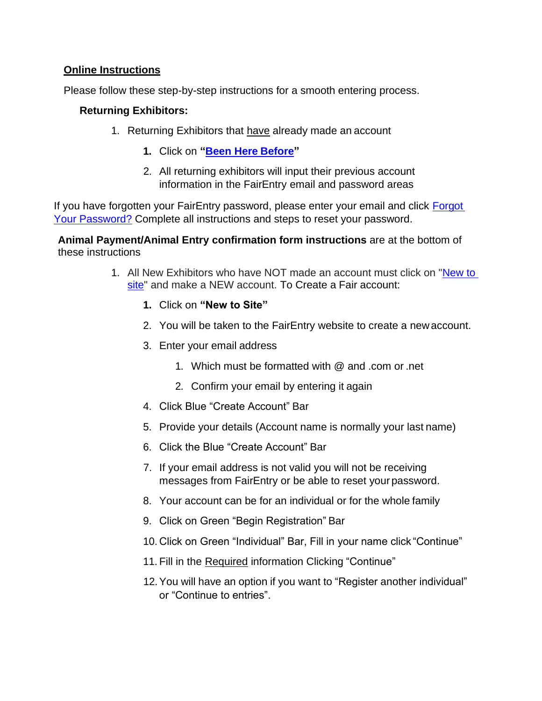## **Online Instructions**

Please follow these step-by-step instructions for a smooth entering process.

## **Returning Exhibitors:**

- 1. Returning Exhibitors that have already made an account
	- **1.** Click on **["Been Here](https://fairentry.com/Fair/SignIn/17205) Before"**
	- 2. All returning exhibitors will input their previous account information in the FairEntry email and password areas

If you have forgotten your FairEntry password, please enter your email and click [Forgot](https://fairentry.com/Fair/ForgotPassword/17205)  [Your Password?](https://fairentry.com/Fair/ForgotPassword/17205) Complete all instructions and steps to reset your password.

**Animal Payment/Animal Entry confirmation form instructions** are at the bottom of these instructions

- 1. All New Exhibitors who have NOT made an account must click on ["New to](https://fairentry.com/FairSignUp/Start/17205)  [site"](https://fairentry.com/FairSignUp/Start/17205) and make a NEW account. To Create a Fair account:
	- **1.** Click on **"New to Site"**
	- 2. You will be taken to the FairEntry website to create a new account.
	- 3. Enter your email address
		- 1. Which must be formatted with @ and .com or .net
		- 2. Confirm your email by entering it again
	- 4. Click Blue "Create Account" Bar
	- 5. Provide your details (Account name is normally your last name)
	- 6. Click the Blue "Create Account" Bar
	- 7. If your email address is not valid you will not be receiving messages from FairEntry or be able to reset your password.
	- 8. Your account can be for an individual or for the whole family
	- 9. Click on Green "Begin Registration" Bar
	- 10. Click on Green "Individual" Bar, Fill in your name click "Continue"
	- 11. Fill in the Required information Clicking "Continue"
	- 12.You will have an option if you want to "Register another individual" or "Continue to entries".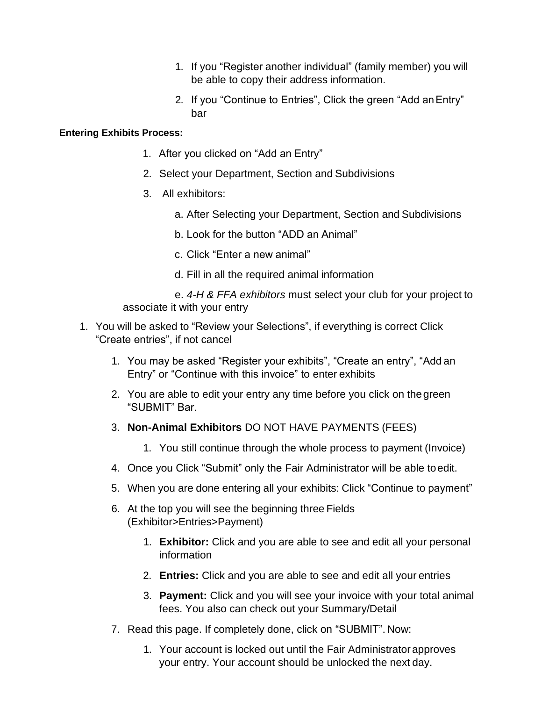- 1. If you "Register another individual" (family member) you will be able to copy their address information.
- 2. If you "Continue to Entries", Click the green "Add anEntry" bar

## **Entering Exhibits Process:**

- 1. After you clicked on "Add an Entry"
- 2. Select your Department, Section and Subdivisions
- 3. All exhibitors:
	- a. After Selecting your Department, Section and Subdivisions
	- b. Look for the button "ADD an Animal"
	- c. Click "Enter a new animal"
	- d. Fill in all the required animal information

e. *4-H & FFA exhibitors* must select your club for your project to associate it with your entry

- 1. You will be asked to "Review your Selections", if everything is correct Click "Create entries", if not cancel
	- 1. You may be asked "Register your exhibits", "Create an entry", "Add an Entry" or "Continue with this invoice" to enter exhibits
	- 2. You are able to edit your entry any time before you click on thegreen "SUBMIT" Bar.
	- 3. **Non-Animal Exhibitors** DO NOT HAVE PAYMENTS (FEES)
		- 1. You still continue through the whole process to payment (Invoice)
	- 4. Once you Click "Submit" only the Fair Administrator will be able toedit.
	- 5. When you are done entering all your exhibits: Click "Continue to payment"
	- 6. At the top you will see the beginning three Fields (Exhibitor>Entries>Payment)
		- 1. **Exhibitor:** Click and you are able to see and edit all your personal information
		- 2. **Entries:** Click and you are able to see and edit all your entries
		- 3. **Payment:** Click and you will see your invoice with your total animal fees. You also can check out your Summary/Detail
	- 7. Read this page. If completely done, click on "SUBMIT". Now:
		- 1. Your account is locked out until the Fair Administratorapproves your entry. Your account should be unlocked the next day.